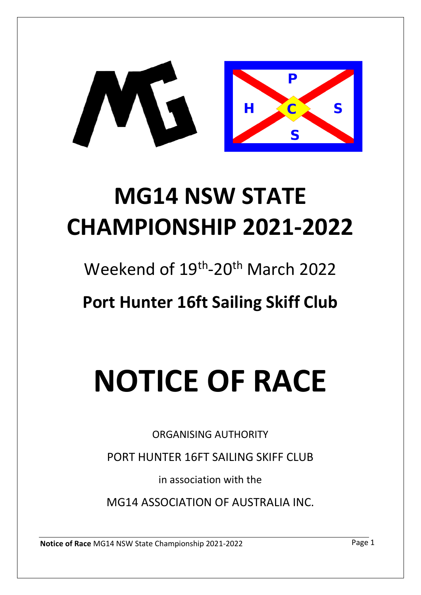

# **MG14 NSW STATE CHAMPIONSHIP 2021-2022**

Weekend of 19<sup>th</sup>-20<sup>th</sup> March 2022

**Port Hunter 16ft Sailing Skiff Club**

# **NOTICE OF RACE**

ORGANISING AUTHORITY

PORT HUNTER 16FT SAILING SKIFF CLUB

in association with the

MG14 ASSOCIATION OF AUSTRALIA INC.

**Notice of Race** MG14 NSW State Championship 2021-2022 Page 1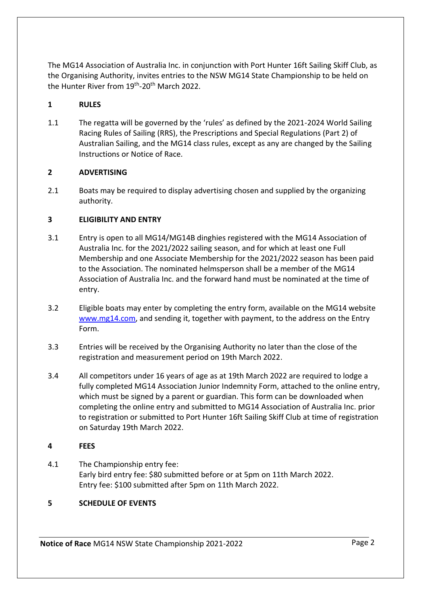The MG14 Association of Australia Inc. in conjunction with Port Hunter 16ft Sailing Skiff Club, as the Organising Authority, invites entries to the NSW MG14 State Championship to be held on the Hunter River from 19<sup>th</sup>-20<sup>th</sup> March 2022.

# **1 RULES**

1.1 The regatta will be governed by the 'rules' as defined by the 2021-2024 World Sailing Racing Rules of Sailing (RRS), the Prescriptions and Special Regulations (Part 2) of Australian Sailing, and the MG14 class rules, except as any are changed by the Sailing Instructions or Notice of Race.

# **2 ADVERTISING**

2.1 Boats may be required to display advertising chosen and supplied by the organizing authority.

# **3 ELIGIBILITY AND ENTRY**

- 3.1 Entry is open to all MG14/MG14B dinghies registered with the MG14 Association of Australia Inc. for the 2021/2022 sailing season, and for which at least one Full Membership and one Associate Membership for the 2021/2022 season has been paid to the Association. The nominated helmsperson shall be a member of the MG14 Association of Australia Inc. and the forward hand must be nominated at the time of entry.
- 3.2 Eligible boats may enter by completing the entry form, available on the MG14 website [www.mg14.com,](http://www.mg14.com/) and sending it, together with payment, to the address on the Entry Form.
- 3.3 Entries will be received by the Organising Authority no later than the close of the registration and measurement period on 19th March 2022.
- 3.4 All competitors under 16 years of age as at 19th March 2022 are required to lodge a fully completed MG14 Association Junior Indemnity Form, attached to the online entry, which must be signed by a parent or guardian. This form can be downloaded when completing the online entry and submitted to MG14 Association of Australia Inc. prior to registration or submitted to Port Hunter 16ft Sailing Skiff Club at time of registration on Saturday 19th March 2022.

#### **4 FEES**

4.1 The Championship entry fee: Early bird entry fee: \$80 submitted before or at 5pm on 11th March 2022. Entry fee: \$100 submitted after 5pm on 11th March 2022.

# **5 SCHEDULE OF EVENTS**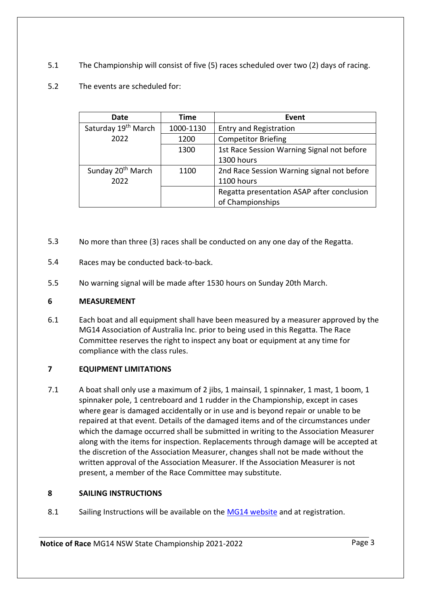- 5.1 The Championship will consist of five (5) races scheduled over two (2) days of racing.
- 5.2 The events are scheduled for:

| Date                          | Time      | Event                                      |
|-------------------------------|-----------|--------------------------------------------|
| Saturday 19th March           | 1000-1130 | <b>Entry and Registration</b>              |
| 2022                          | 1200      | <b>Competitor Briefing</b>                 |
|                               | 1300      | 1st Race Session Warning Signal not before |
|                               |           | 1300 hours                                 |
| Sunday 20 <sup>th</sup> March | 1100      | 2nd Race Session Warning signal not before |
| 2022                          |           | 1100 hours                                 |
|                               |           | Regatta presentation ASAP after conclusion |
|                               |           | of Championships                           |

- 5.3 No more than three (3) races shall be conducted on any one day of the Regatta.
- 5.4 Races may be conducted back-to-back.
- 5.5 No warning signal will be made after 1530 hours on Sunday 20th March.

# **6 MEASUREMENT**

6.1 Each boat and all equipment shall have been measured by a measurer approved by the MG14 Association of Australia Inc. prior to being used in this Regatta. The Race Committee reserves the right to inspect any boat or equipment at any time for compliance with the class rules.

# **7 EQUIPMENT LIMITATIONS**

7.1 A boat shall only use a maximum of 2 jibs, 1 mainsail, 1 spinnaker, 1 mast, 1 boom, 1 spinnaker pole, 1 centreboard and 1 rudder in the Championship, except in cases where gear is damaged accidentally or in use and is beyond repair or unable to be repaired at that event. Details of the damaged items and of the circumstances under which the damage occurred shall be submitted in writing to the Association Measurer along with the items for inspection. Replacements through damage will be accepted at the discretion of the Association Measurer, changes shall not be made without the written approval of the Association Measurer. If the Association Measurer is not present, a member of the Race Committee may substitute.

# **8 SAILING INSTRUCTIONS**

8.1 Sailing Instructions will be available on the [MG14 website](http://www.mg14.com/) and at registration.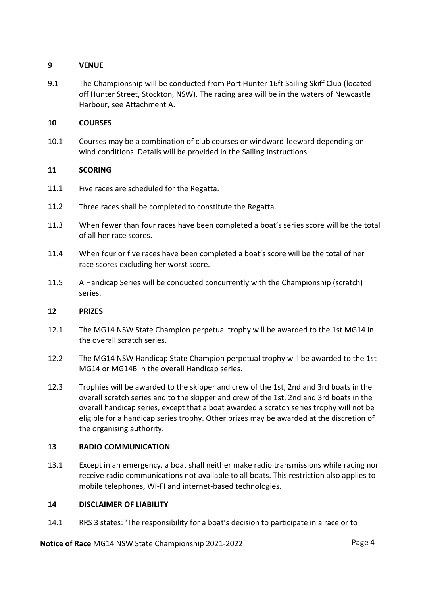#### **9 VENUE**

9.1 The Championship will be conducted from Port Hunter 16ft Sailing Skiff Club (located off Hunter Street, Stockton, NSW). The racing area will be in the waters of Newcastle Harbour, see Attachment A.

#### **10 COURSES**

10.1 Courses may be a combination of club courses or windward-leeward depending on wind conditions. Details will be provided in the Sailing Instructions.

#### **11 SCORING**

- 11.1 Five races are scheduled for the Regatta.
- 11.2 Three races shall be completed to constitute the Regatta.
- 11.3 When fewer than four races have been completed a boat's series score will be the total of all her race scores.
- 11.4 When four or five races have been completed a boat's score will be the total of her race scores excluding her worst score.
- 11.5 A Handicap Series will be conducted concurrently with the Championship (scratch) series.

#### **12 PRIZES**

- 12.1 The MG14 NSW State Champion perpetual trophy will be awarded to the 1st MG14 in the overall scratch series.
- 12.2 The MG14 NSW Handicap State Champion perpetual trophy will be awarded to the 1st MG14 or MG14B in the overall Handicap series.
- 12.3 Trophies will be awarded to the skipper and crew of the 1st, 2nd and 3rd boats in the overall scratch series and to the skipper and crew of the 1st, 2nd and 3rd boats in the overall handicap series, except that a boat awarded a scratch series trophy will not be eligible for a handicap series trophy. Other prizes may be awarded at the discretion of the organising authority.

#### **13 RADIO COMMUNICATION**

13.1 Except in an emergency, a boat shall neither make radio transmissions while racing nor receive radio communications not available to all boats. This restriction also applies to mobile telephones, WI-FI and internet-based technologies.

#### **14 DISCLAIMER OF LIABILITY**

14.1 RRS 3 states: 'The responsibility for a boat's decision to participate in a race or to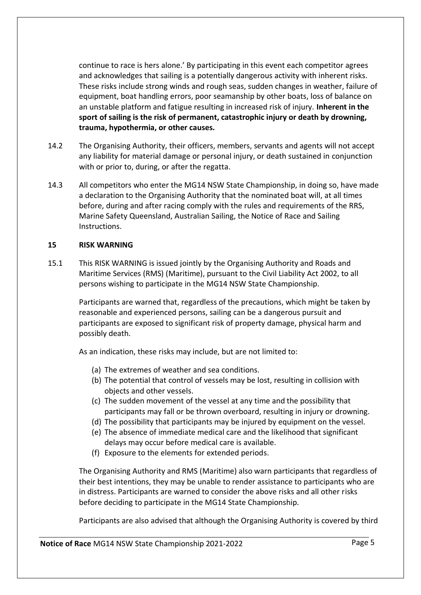continue to race is hers alone.' By participating in this event each competitor agrees and acknowledges that sailing is a potentially dangerous activity with inherent risks. These risks include strong winds and rough seas, sudden changes in weather, failure of equipment, boat handling errors, poor seamanship by other boats, loss of balance on an unstable platform and fatigue resulting in increased risk of injury. **Inherent in the sport of sailing is the risk of permanent, catastrophic injury or death by drowning, trauma, hypothermia, or other causes.**

- 14.2 The Organising Authority, their officers, members, servants and agents will not accept any liability for material damage or personal injury, or death sustained in conjunction with or prior to, during, or after the regatta.
- 14.3 All competitors who enter the MG14 NSW State Championship, in doing so, have made a declaration to the Organising Authority that the nominated boat will, at all times before, during and after racing comply with the rules and requirements of the RRS, Marine Safety Queensland, Australian Sailing, the Notice of Race and Sailing Instructions.

#### **15 RISK WARNING**

15.1 This RISK WARNING is issued jointly by the Organising Authority and Roads and Maritime Services (RMS) (Maritime), pursuant to the Civil Liability Act 2002, to all persons wishing to participate in the MG14 NSW State Championship.

Participants are warned that, regardless of the precautions, which might be taken by reasonable and experienced persons, sailing can be a dangerous pursuit and participants are exposed to significant risk of property damage, physical harm and possibly death.

As an indication, these risks may include, but are not limited to:

- (a) The extremes of weather and sea conditions.
- (b) The potential that control of vessels may be lost, resulting in collision with objects and other vessels.
- (c) The sudden movement of the vessel at any time and the possibility that participants may fall or be thrown overboard, resulting in injury or drowning.
- (d) The possibility that participants may be injured by equipment on the vessel.
- (e) The absence of immediate medical care and the likelihood that significant delays may occur before medical care is available.
- (f) Exposure to the elements for extended periods.

The Organising Authority and RMS (Maritime) also warn participants that regardless of their best intentions, they may be unable to render assistance to participants who are in distress. Participants are warned to consider the above risks and all other risks before deciding to participate in the MG14 State Championship.

Participants are also advised that although the Organising Authority is covered by third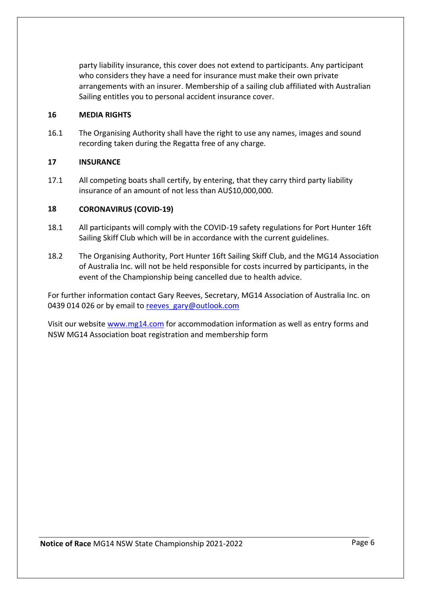party liability insurance, this cover does not extend to participants. Any participant who considers they have a need for insurance must make their own private arrangements with an insurer. Membership of a sailing club affiliated with Australian Sailing entitles you to personal accident insurance cover.

#### **16 MEDIA RIGHTS**

16.1 The Organising Authority shall have the right to use any names, images and sound recording taken during the Regatta free of any charge.

#### **17 INSURANCE**

17.1 All competing boats shall certify, by entering, that they carry third party liability insurance of an amount of not less than AU\$10,000,000.

#### **18 CORONAVIRUS (COVID-19)**

- 18.1 All participants will comply with the COVID-19 safety regulations for Port Hunter 16ft Sailing Skiff Club which will be in accordance with the current guidelines.
- 18.2 The Organising Authority, Port Hunter 16ft Sailing Skiff Club, and the MG14 Association of Australia Inc. will not be held responsible for costs incurred by participants, in the event of the Championship being cancelled due to health advice.

For further information contact Gary Reeves, Secretary, MG14 Association of Australia Inc. on 0439 014 026 or by email to [reeves\\_gary@outlook.com](mailto:reeves_gary@outlook.com)

Visit our website [www.mg14.com](http://www.mg14.com/) for accommodation information as well as entry forms and NSW MG14 Association boat registration and membership form